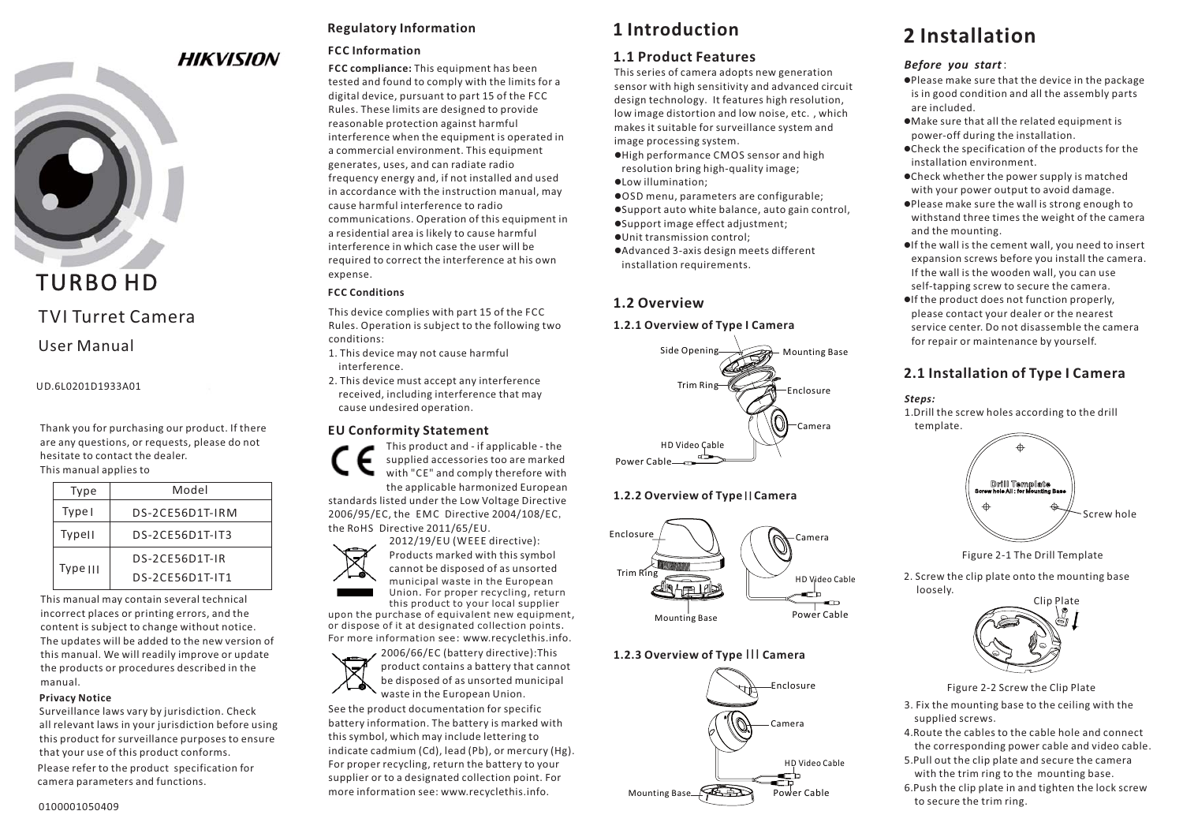

# TURBO HD

## TVI Turret Camera

## User Manual

UD.6L0201D1933A01

Thank you for purchasing our product. If there are any questions, or requests, please do not hesitate to contact the dealer. This manual applies to

| Type          | Model           |
|---------------|-----------------|
| Type I        | DS-2CE56D1T-IRM |
| <b>Typell</b> | DS-2CE56D1T-IT3 |
| Type III      | DS-2CE56D1T-IR  |
|               | DS-2CE56D1T-IT1 |
|               |                 |

This manual may contain several technical incorrect places or printing errors, and the content is subject to change without notice. The updates will be added to the new version of this manual. We will readily improve or update the products or procedures described in the manual.

#### **Privacy Notice**

Please refer to the product specification for camera parameters and functions. Surveillance laws vary by jurisdiction. Check all relevant laws in your jurisdiction before using this product for surveillance purposes to ensure that your use of this product conforms.

## **Regulatory Information**

## **FCC Information**

**FCC compliance:** This equipment has been tested and found to comply with the limits for a digital device, pursuant to part 15 of the FCC Rules. These limits are designed to provide reasonable protection against harmful interference when the equipment is operated in a commercial environment. This equipment generates, uses, and can radiate radio frequency energy and, if not installed and used in accordance with the instruction manual, may cause harmful interference to radiocommunications. Operation of this equipment in a residential area is likely to cause harmful interference in which case the user will berequired to correct the interference at his own expense.

## **FCC Conditions**

This device complies with part 15 of the FCC Rules. Operation is subject to the following two conditions:

- 1. This device may not cause harmful interference.
- 2. This device must accept any interference received, including interference that may cause undesired operation.

## **EU Conformity Statement**

This product and - if applicable - the supplied accessories too are marked with "CE" and comply therefore with the applicable harmonized European

standards listed under the Low Voltage Directive 2006/95/EC, the EMC Directive 2004/108/EC, the RoHS Directive 2011/65/EU.



upon the purchase of equivalent new equipment, Union. For proper recycling, return this product to your local supplier

or dispose of it at designated collection points. For more information see: www.recyclethis.info.



See the product documentation for specific battery information. The battery is marked with this symbol, which may include lettering to indicate cadmium (Cd), lead (Pb), or mercury (Hg). For proper recycling, return the battery to your supplier or to a designated collection point. For more information see: www.recyclethis.info.

## **1 Introduction**

## **1.1 Product Features**

This series of camera adopts new generation sensor with high sensitivity and advanced circuit design technology. It features high resolution, low image distortion and low noise, etc., which makes it suitable for surveillance system and image processing system.

- -High performance CMOS sensor and high resolution bring high-quality image;
- -Low illumination;
- -OSD menu, parameters are configurable;
- -Support auto white balance, auto gain control,
- -Support image effect adjustment;
- -Unit transmission control;
- -Advanced 3-axis design meets different installation requirements.

## **1.2 Overview**

## **1.2.1 Overview of Type I Camera**



## **1.2.2 Overview of Type || Camera**



## **1.2.3 Overview of Type III Camera**



# **2 Installation**

## *Before you start*:

- $\bullet$ Please make sure that the device in the package is in good condition and all the assembly parts are included.
- -Make sure that all the related equipment is power-off during the installation.
- -Check the specification of the products for the installation environment.
- -Check whether the power supply is matched with your power output to avoid damage.
- -Please make sure the wall is strong enough to withstand three times the weight of the camera and the mounting.
- -If the wall is the cement wall, you need to insert expansion screws before you install the camera. If the wall is the wooden wall, you can use self-tapping screw to secure the camera.
- -If the product does not function properly, please contact your dealer or the nearest service center. Do not disassemble the camerafor repair or maintenance by yourself.

## **2.1 Installation of Type Camera I**





Figure 2-1 The Drill Template

2. Screw the clip plate onto the mounting base loosely.



Figure 2-2 Screw the Clip Plate

- 3. Fix the mounting base to the ceiling with the supplied screws.
- 4.Route the cables to the cable hole and connect the corresponding power cable and video cable.
- 5.Pull out the clip plate and secure the camera with the trim ring to the mounting base.
- 6.Push the clip plate in and tighten the lock screw to secure the trim ring.